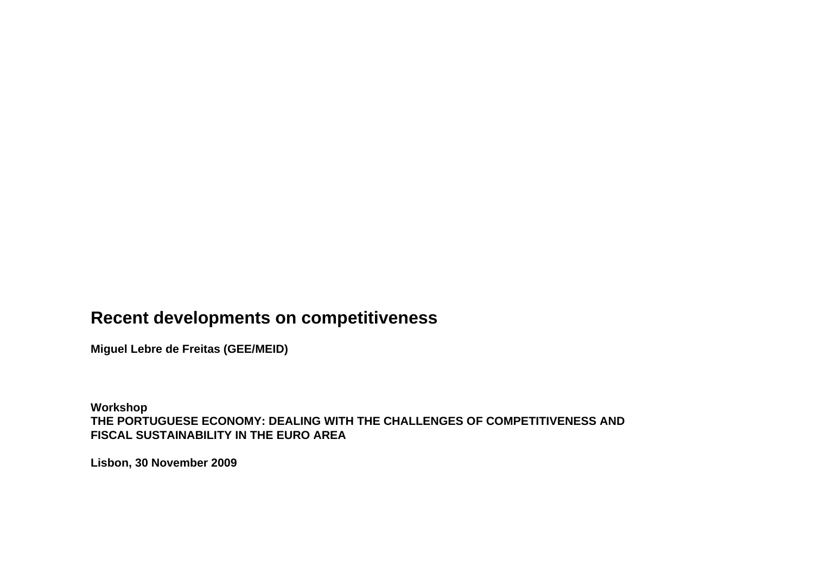## **Recent developments on competitiveness**

**Miguel Lebre de Freitas (GEE/MEID)**

**Workshop THE PORTUGUESE ECONOMY: DEALING WITH THE CHALLENGES OF COMPETITIVENESS AND FISCAL SUSTAINABILITY IN THE EURO AREA**

**Lisbon, 30 November 2009**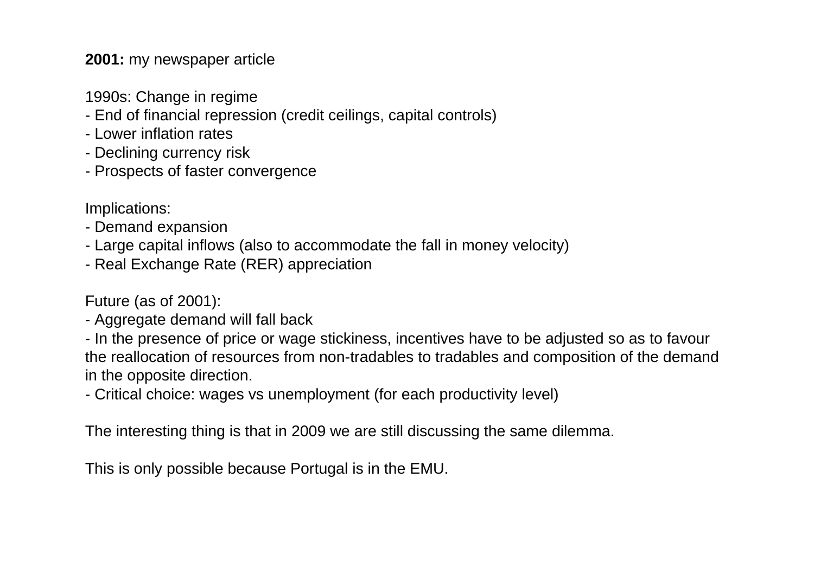**2001:** my newspaper article

- 1990s: Change in regime
- End of financial repression (credit ceilings, capital controls)
- Lower inflation rates
- Declining currency risk
- Prospects of faster convergence

Implications:

- Demand expansion
- Large capital inflows (also to accommodate the fall in money velocity)
- Real Exchange Rate (RER) appreciation

Future (as of 2001):

- Aggregate demand will fall back

- In the presence of price or wage stickiness, incentives have to be adjusted so as to favour the reallocation of resources from non-tradables to tradables and composition of the demand in the opposite direction.

- Critical choice: wages vs unemployment (for each productivity level)

The interesting thing is that in 2009 we are still discussing the same dilemma.

This is only possible because Portugal is in the EMU.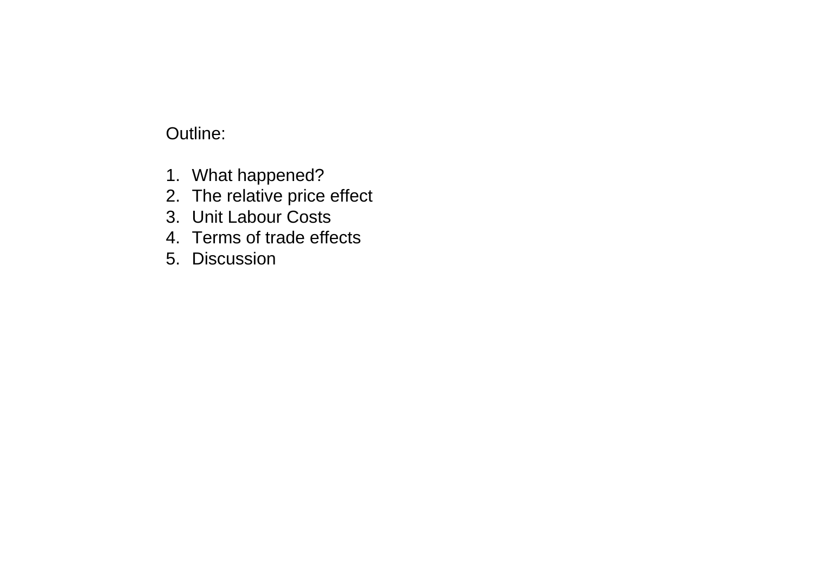# Outline:

- 1. What happened?
- 2. The relative price effect
- 3. Unit Labour Costs
- 4. Terms of trade effects
- 5. Discussion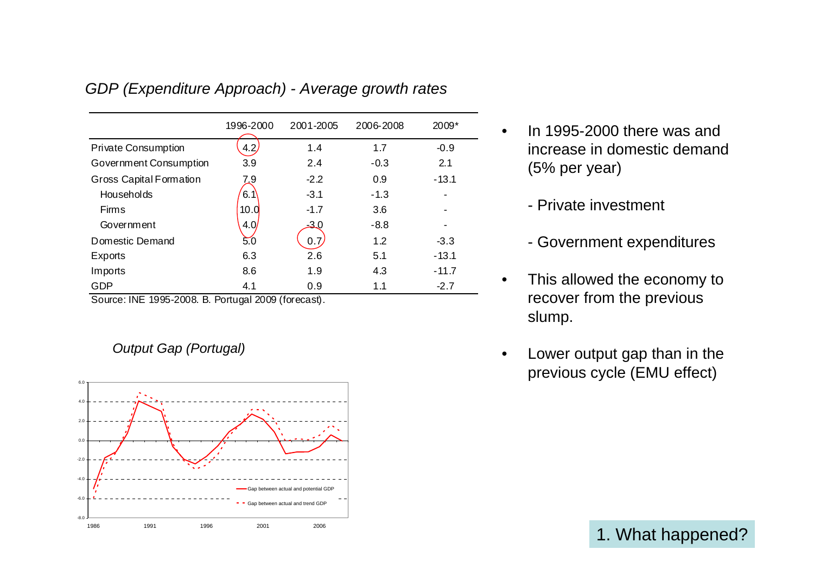|                                | 1996-2000 | 2001-2005 | 2006-2008 | 2009*   |
|--------------------------------|-----------|-----------|-----------|---------|
| <b>Private Consumption</b>     | 4.2       | 1.4       | 1.7       | $-0.9$  |
| Government Consumption         | 3.9       | 2.4       | $-0.3$    | 2.1     |
| <b>Gross Capital Formation</b> | 7_9       | $-2.2$    | 0.9       | $-13.1$ |
| Households                     | 6.1       | $-3.1$    | $-1.3$    |         |
| <b>Firms</b>                   | 10.0      | $-1.7$    | 3.6       |         |
| Government                     | 4.0/      | -3.0      | $-8.8$    |         |
| Domestic Demand                | 50        | 0.7       | 1.2       | $-3.3$  |
| Exports                        | 6.3       | 2.6       | 5.1       | $-13.1$ |
| Imports                        | 8.6       | 1.9       | 4.3       | $-11.7$ |
| GDP                            | 4.1       | 0.9       | 1.1       | $-2.7$  |

#### *GDP (Expenditure Approach) - Average growth rates*

Source: INE 1995-2008. B. Portugal 2009 (forecast).

*Output Gap (Portugal)*



- In 1995-2000 there was and increase in domestic demand (5% per year)
	- Private investment

•

- Government expenditures
- • This allowed the economy to recover from the previous slump.
- • Lower output gap than in the previous cycle (EMU effect)

1. What happened?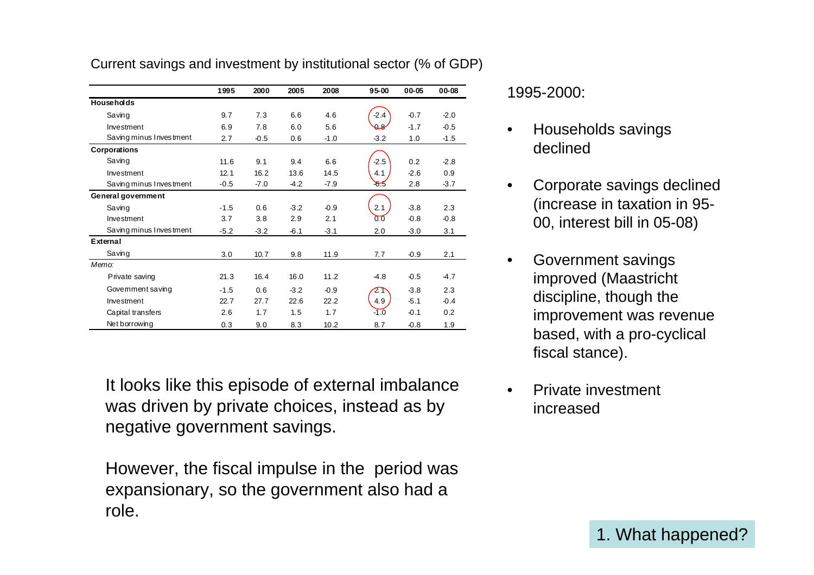|                         | 1995   | 2000   | 2005   | 2008   | $95 - 00$ | 00-05  | 00-08  |
|-------------------------|--------|--------|--------|--------|-----------|--------|--------|
| <b>Households</b>       |        |        |        |        |           |        |        |
| Saving                  | 9.7    | 7.3    | 6.6    | 4.6    | $-2.4$    | $-0.7$ | $-2.0$ |
| Investment              | 6.9    | 7.8    | 6.0    | 5.6    | $\theta$  | $-1.7$ | $-0.5$ |
| Saving minus Investment | 2.7    | $-0.5$ | 0.6    | $-1.0$ | $-3.2$    | 1.0    | $-1.5$ |
| Corporations            |        |        |        |        |           |        |        |
| Saving                  | 11.6   | 9.1    | 9.4    | 6.6    | $-2.5$    | 0.2    | $-2.8$ |
| Investment              | 12.1   | 16.2   | 13.6   | 14.5   | 4.1       | $-2.6$ | 0.9    |
| Saving minus Investment | $-0.5$ | $-7.0$ | $-4.2$ | $-7.9$ | 55        | 2.8    | $-3.7$ |
| General government      |        |        |        |        |           |        |        |
| Saving                  | $-1.5$ | 0.6    | $-3.2$ | $-0.9$ | 2.1       | $-3.8$ | 2.3    |
| Investment              | 3.7    | 3.8    | 2.9    | 2.1    | 0.0       | $-0.8$ | $-0.8$ |
| Saving minus Investment | $-5.2$ | $-3.2$ | $-6.1$ | $-3.1$ | 2.0       | $-3.0$ | 3.1    |
| External                |        |        |        |        |           |        |        |
| Saving                  | 3.0    | 10.7   | 9.8    | 11.9   | 7.7       | $-0.9$ | 2.1    |
| Memo:                   |        |        |        |        |           |        |        |
| Private saving          | 21.3   | 16.4   | 16.0   | 11.2   | $-4.8$    | $-0.5$ | $-4.7$ |
| Govemment saving        | $-1.5$ | 0.6    | $-3.2$ | $-0.9$ | 2.1       | $-3.8$ | 2.3    |
| Investment              | 22.7   | 27.7   | 22.6   | 22.2   | 4.9       | $-5.1$ | $-0.4$ |
| Capital transfers       | 2.6    | 1.7    | 1.5    | 1.7    | $-1.0$    | $-0.1$ | 0.2    |
| Net borrowing           | 0.3    | 9.0    | 8.3    | 10.2   | 8.7       | $-0.8$ | 1.9    |

Current savings and investment by institutional sector (% of GDP)

It looks like this episode of external imbalance was driven by private choices, instead as by negative government savings.

However, the fiscal impulse in the period was expansionary, so the government also had a role.

1995-2000:

- • Households savings declined
- • Corporate savings declined (increase in taxation in 95- 00, interest bill in 05-08)
- • Government savings improved (Maastricht discipline, though the improvement was revenue based, with a pro-cyclical fiscal stance).
- • Private investment increased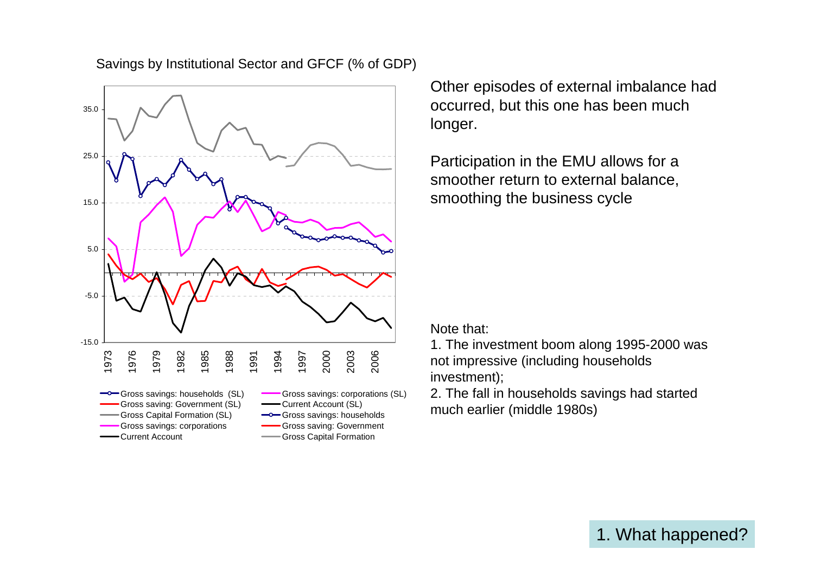

Savings by Institutional Sector and GFCF (% of GDP)

Other episodes of external imbalance had occurred, but this one has been much longer.

Participation in the EMU allows for a smoother return to external balance, smoothing the business cycle

Note that:

1. The investment boom along 1995-2000 was not impressive (including households investment);

2. The fall in households savings had started much earlier (middle 1980s)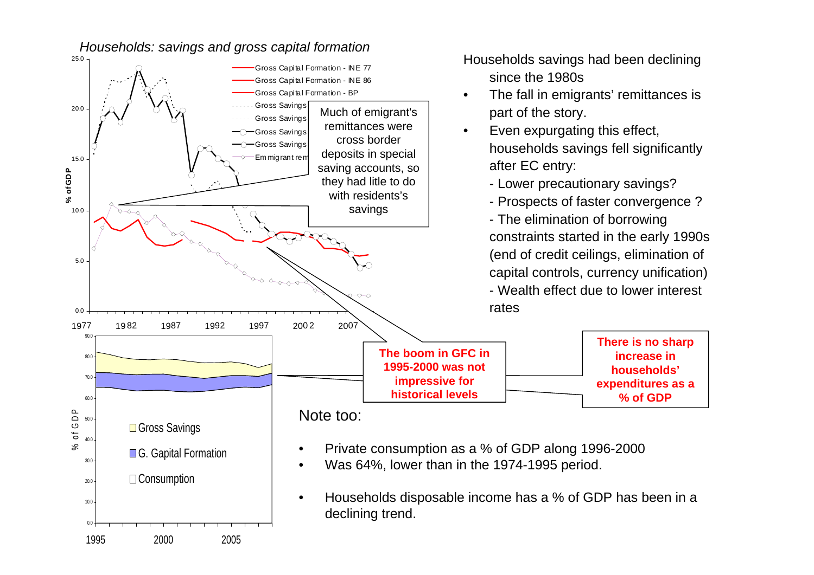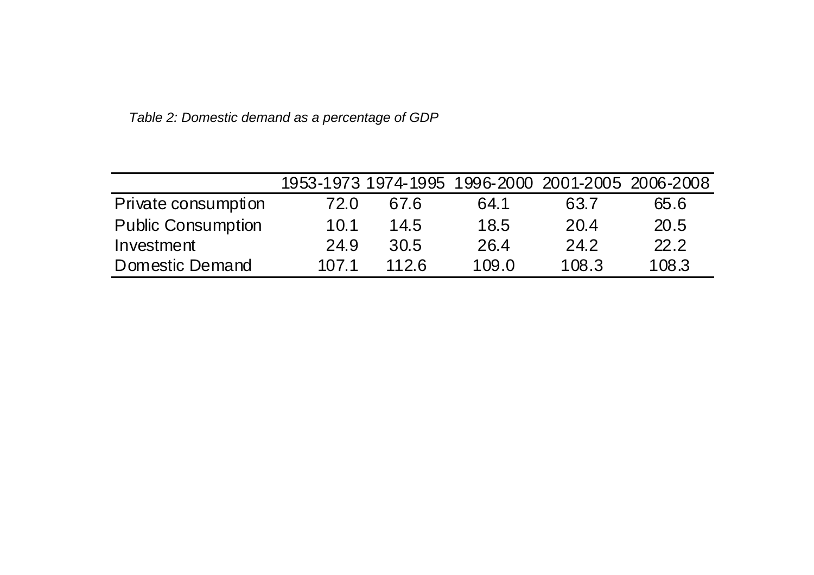|                           |       |      | 1953-1973 1974-1995 1996-2000 2001-2005 2006-2008 |       |       |
|---------------------------|-------|------|---------------------------------------------------|-------|-------|
| Private consumption       | 72.0  | 67.6 | 64.1                                              | 63.7  | 65.6  |
| <b>Public Consumption</b> | 10.1  | 14.5 | 18.5                                              | 20.4  | 20.5  |
| Investment                | 24.9  | 30.5 | 26.4                                              | 24.2  | 22.2  |
| Domestic Demand           | 107.1 | 1126 | 109.0                                             | 108.3 | 108.3 |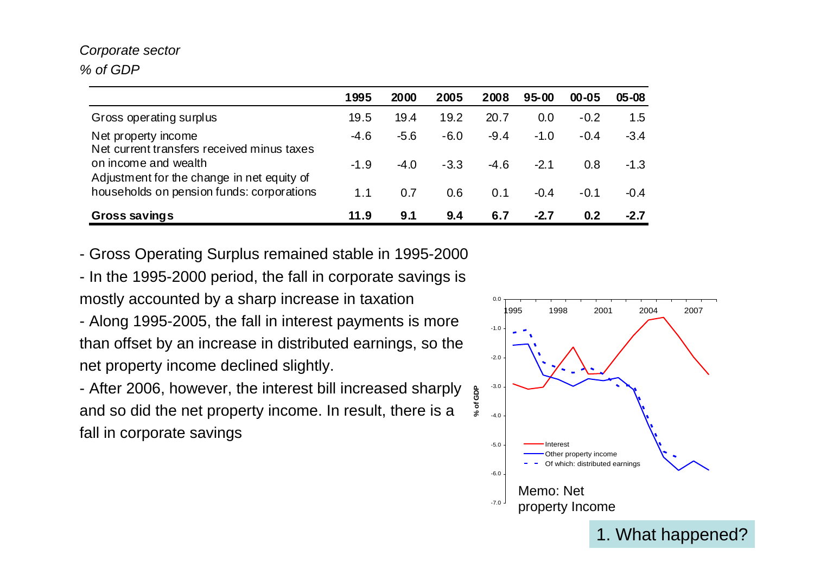#### *Corporate sector % of GDP*

|                                                                    | 1995   | 2000   | 2005   | 2008   | $95 - 00$ | $00 - 05$ | $05 - 08$ |
|--------------------------------------------------------------------|--------|--------|--------|--------|-----------|-----------|-----------|
| Gross operating surplus                                            | 19.5   | 19.4   | 19.2   | 20.7   | 0.0       | $-0.2$    | 1.5       |
| Net property income<br>Net current transfers received minus taxes  | $-4.6$ | $-5.6$ | $-6.0$ | $-9.4$ | $-1.0$    | $-0.4$    | $-3.4$    |
| on income and wealth<br>Adjustment for the change in net equity of | $-1.9$ | $-4.0$ | $-3.3$ | $-4.6$ | $-2.1$    | 0.8       | $-1.3$    |
| households on pension funds: corporations                          | 1.1    | 0.7    | 0.6    | 0.1    | $-0.4$    | $-0.1$    | $-0.4$    |
| Gross savings                                                      | 11.9   | 9.1    | 9.4    | 6.7    | -2.7      | 0.2       | $-2.7$    |

- Gross Operating Surplus remained stable in 1995-2000

- In the 1995-2000 period, the fall in corporate savings is mostly accounted by a sharp increase in taxation

- Along 1995-2005, the fall in interest payments is more than offset by an increase in distributed earnings, so the net property income declined slightly.

- After 2006, however, the interest bill increased sharply and so did the net property income. In result, there is a fall in corporate savings

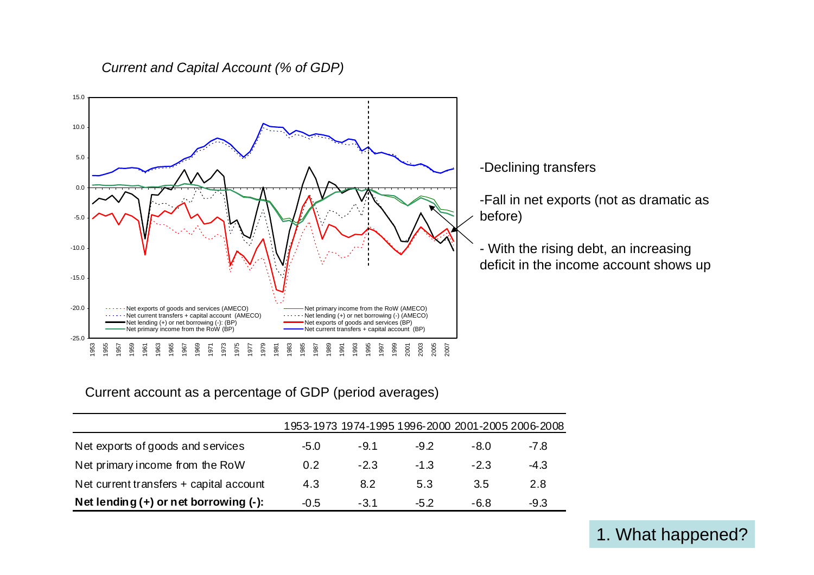#### *Current and Capital Account (% of GDP)*



-Declining transfers

-Fall in net exports (not as dramatic as

- With the rising debt, an increasing deficit in the income account shows up

#### Current account as a percentage of GDP (period averages)

|                                         |        |        |        | 1953-1973 1974-1995 1996-2000 2001-2005 2006-2008 |        |
|-----------------------------------------|--------|--------|--------|---------------------------------------------------|--------|
| Net exports of goods and services       | $-5.0$ | $-9.1$ | $-9.2$ | -8.0                                              | -7.8   |
| Net primary income from the RoW         | 0.2    | $-2.3$ | $-1.3$ | $-2.3$                                            | $-4.3$ |
| Net current transfers + capital account | 4.3    | 8.2    | 5.3    | 3.5                                               | 2.8    |
| Net lending (+) or net borrowing (-):   | $-0.5$ | $-3.1$ | $-5.2$ | $-6.8$                                            | $-9.3$ |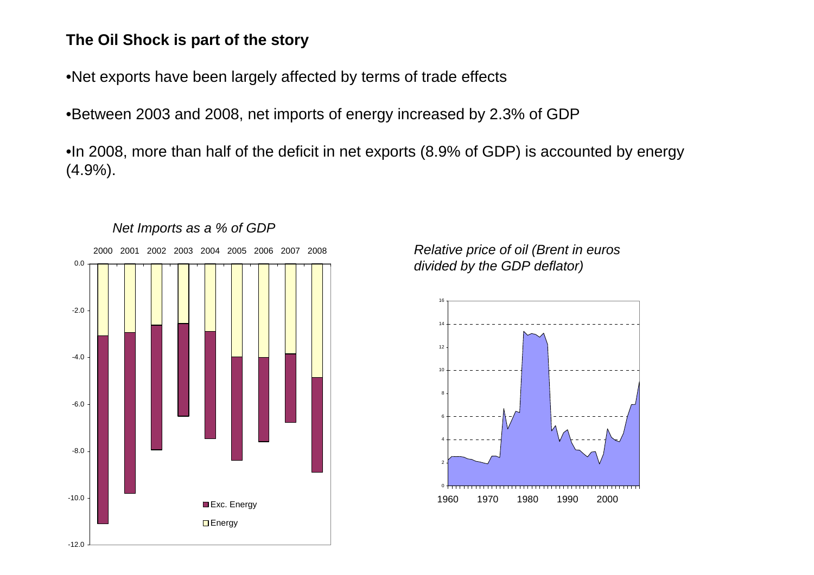## **The Oil Shock is part of the story**

•Net exports have been largely affected by terms of trade effects

•Between 2003 and 2008, net imports of energy increased by 2.3% of GDP

•In 2008, more than half of the deficit in net exports (8.9% of GDP) is accounted by energy (4.9%).



*Relative price of oil (Brent in euros divided by the GDP deflator)*

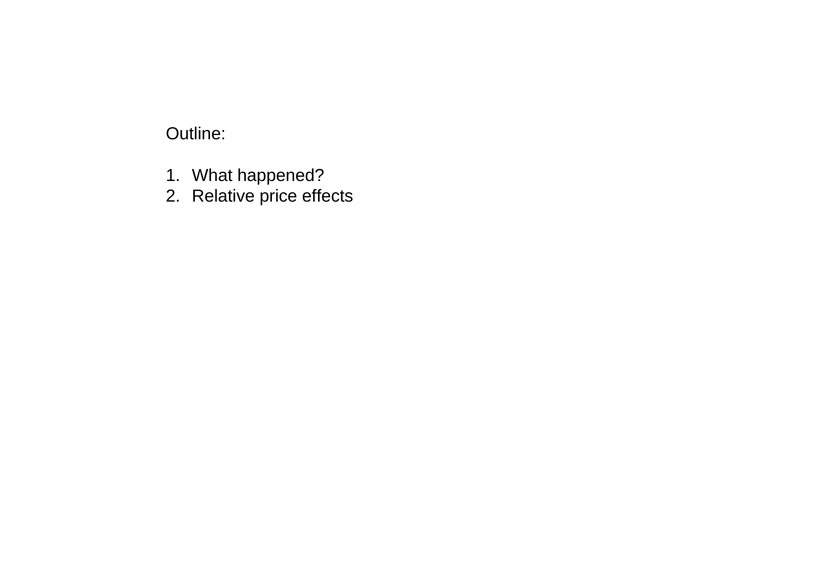# Outline:

- 1. What happened?
- 2. Relative price effects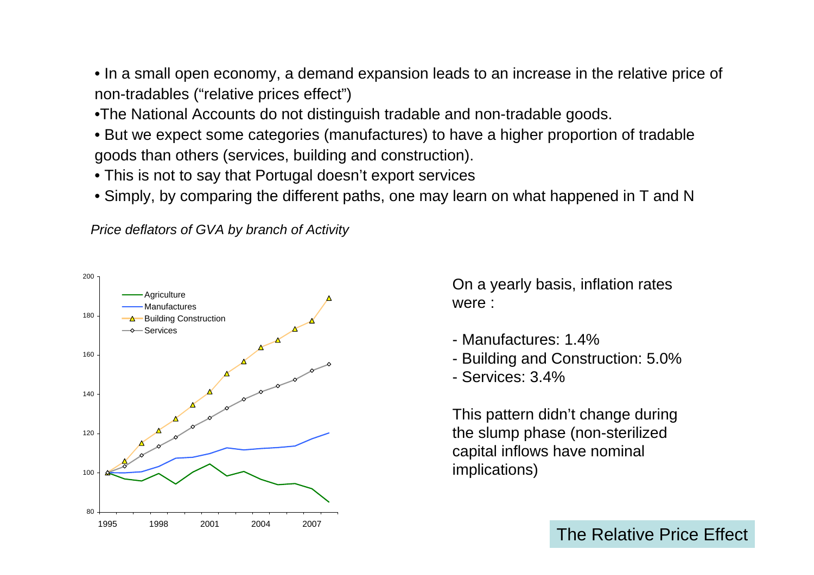• In a small open economy, a demand expansion leads to an increase in the relative price of non-tradables ("relative prices effect")

- •The National Accounts do not distinguish tradable and non-tradable goods.
- But we expect some categories (manufactures) to have a higher proportion of tradable goods than others (services, building and construction).
- This is not to say that Portugal doesn't export services
- Simply, by comparing the different paths, one may learn on what happened in T and N

*Price deflators of GVA by branch of Activity*



On a yearly basis, inflation rates were :

- Manufactures: 1.4%
- Building and Construction: 5.0%
- Services: 3.4%

This pattern didn't change during the slump phase (non-sterilized capital inflows have nominal implications)

The Relative Price Effect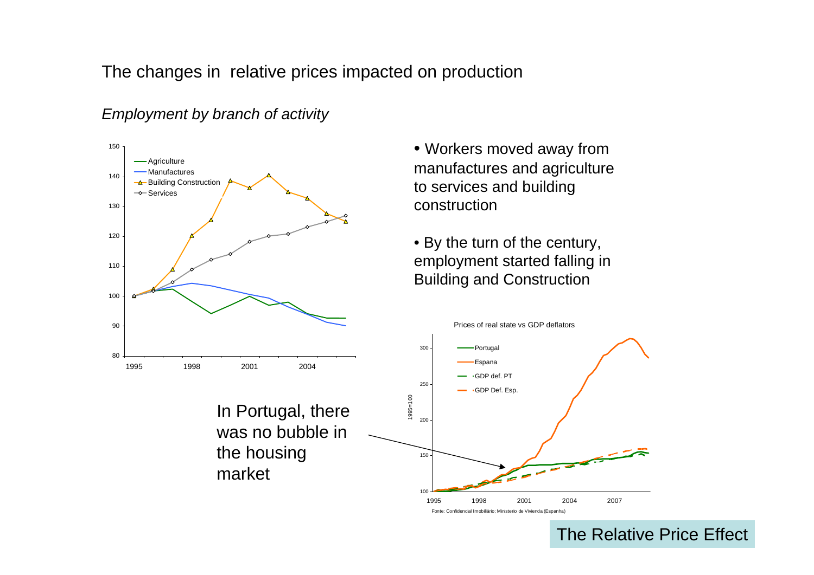The changes in relative prices impacted on production



the housing

market

*Employment by branch of activity*

- Workers moved away from manufactures and agriculture to services and building construction
- By the turn of the century, employment started falling in Building and Construction



The Relative Price Effect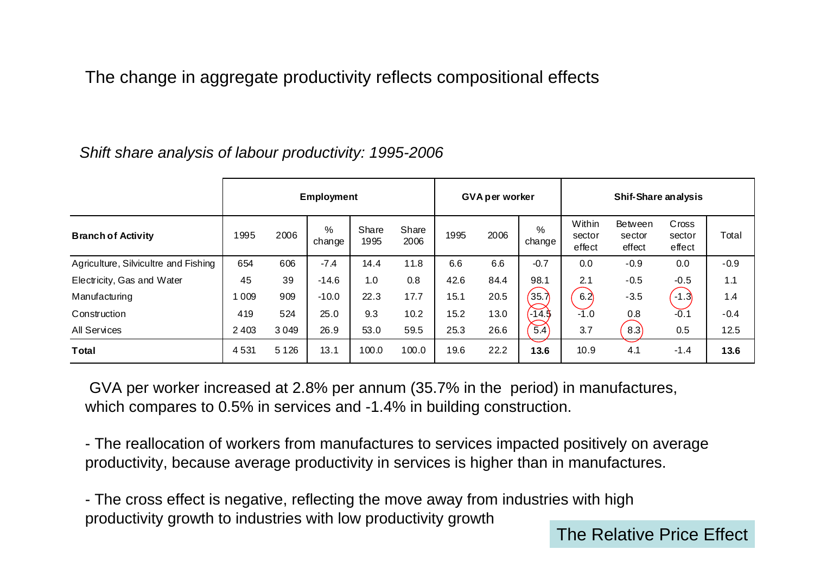The change in aggregate productivity reflects compositional effects

|                                      | <b>Employment</b> |         |             |               | <b>GVA per worker</b> |      |      | <b>Shif-Share analysis</b> |                            |                                    |                           |        |
|--------------------------------------|-------------------|---------|-------------|---------------|-----------------------|------|------|----------------------------|----------------------------|------------------------------------|---------------------------|--------|
| <b>Branch of Activity</b>            | 1995              | 2006    | %<br>change | Share<br>1995 | Share<br>2006         | 1995 | 2006 | %<br>change                | Within<br>sector<br>effect | <b>Between</b><br>sector<br>effect | Cross<br>sector<br>effect | Total  |
| Agriculture, Silvicultre and Fishing | 654               | 606     | $-7.4$      | 14.4          | 11.8                  | 6.6  | 6.6  | $-0.7$                     | 0.0                        | $-0.9$                             | 0.0                       | $-0.9$ |
| Electricity, Gas and Water           | 45                | 39      | $-14.6$     | 1.0           | 0.8                   | 42.6 | 84.4 | 98.1                       | 2.1                        | $-0.5$                             | $-0.5$                    | 1.1    |
| Manufacturing                        | 009               | 909     | $-10.0$     | 22.3          | 17.7                  | 15.1 | 20.5 | $35.\overline{7}$          | 6.2                        | $-3.5$                             | $-1.3$                    | 1.4    |
| Construction                         | 419               | 524     | 25.0        | 9.3           | 10.2                  | 15.2 | 13.0 | $\sqrt{14.3}$              | $-1.0$                     | 0.8                                | $-0.1$                    | $-0.4$ |
| <b>All Services</b>                  | 2 4 0 3           | 3 0 4 9 | 26.9        | 53.0          | 59.5                  | 25.3 | 26.6 | $\overline{5.4}$           | 3.7                        | 8.3                                | 0.5                       | 12.5   |
| Total                                | 4531              | 5 1 2 6 | 13.1        | 100.0         | 100.0                 | 19.6 | 22.2 | 13.6                       | 10.9                       | 4.1                                | $-1.4$                    | 13.6   |

## *Shift share analysis of labour productivity: 1995-2006*

GVA per worker increased at 2.8% per annum (35.7% in the period) in manufactures, which compares to 0.5% in services and -1.4% in building construction.

- The reallocation of workers from manufactures to services impacted positively on average productivity, because average productivity in services is higher than in manufactures.

- The cross effect is negative, reflecting the move away from industries with high productivity growth to industries with low productivity growth

The Relative Price Effect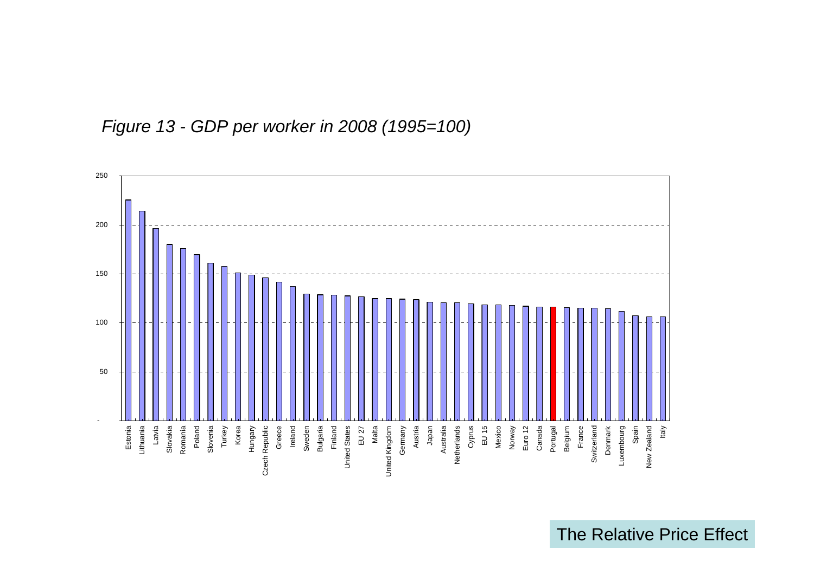

*Figure 13 - GDP per worker in 2008 (1995=100)*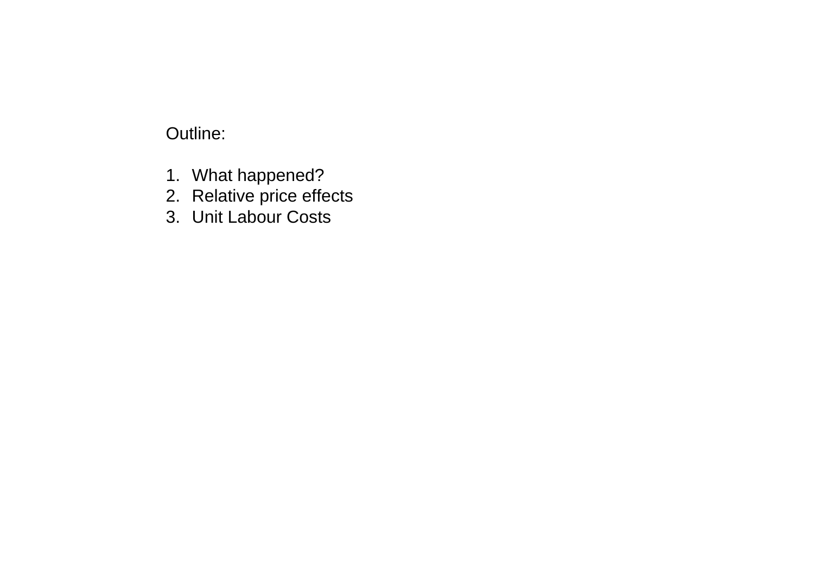# Outline:

- 1. What happened?
- 2. Relative price effects
- 3. Unit Labour Costs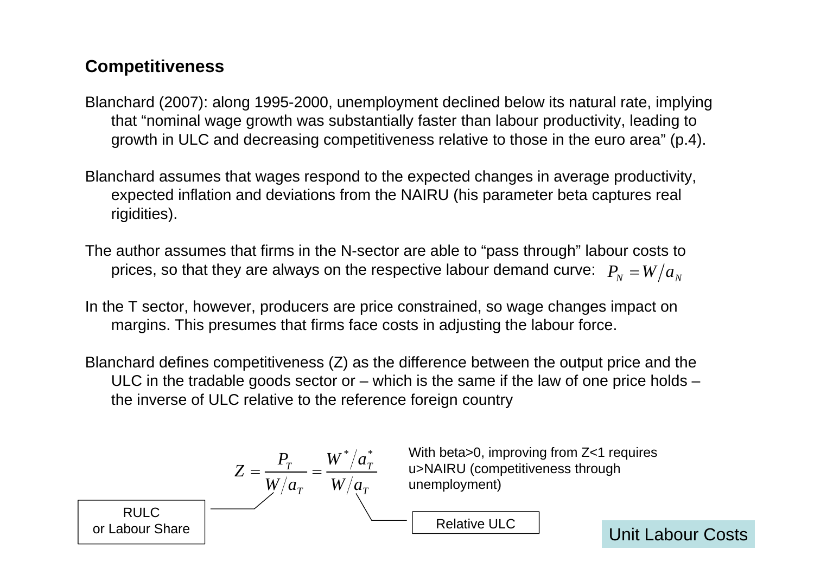# **Competitiveness**

- Blanchard (2007): along 1995-2000, unemployment declined below its natural rate, implying that "nominal wage growth was substantially faster than labour productivity, leading to growth in ULC and decreasing competitiveness relative to those in the euro area" (p.4).
- Blanchard assumes that wages respond to the expected changes in average productivity, expected inflation and deviations from the NAIRU (his parameter beta captures real rigidities).
- The author assumes that firms in the N-sector are able to "pass through" labour costs to prices, so that they are always on the respective labour demand curve:  $\; P_{_N} = W/a_{_N} \;$
- In the T sector, however, producers are price constrained, so wage changes impact on margins. This presumes that firms face costs in adjusting the labour force.
- Blanchard defines competitiveness (Z) as the difference between the output price and the ULC in the tradable goods sector or  $-$  which is the same if the law of one price holds  $$ the inverse of ULC relative to the reference foreign country

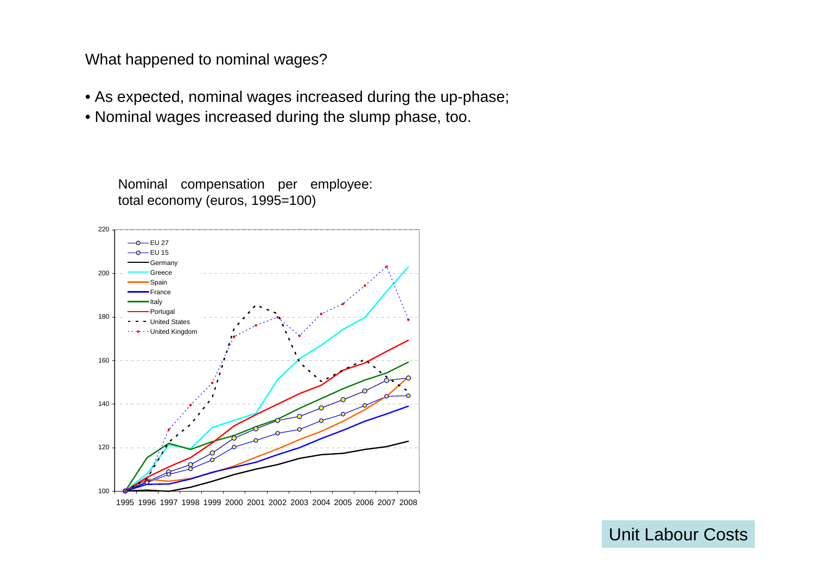What happened to nominal wages?

- As expected, nominal wages increased during the up-phase;
- Nominal wages increased during the slump phase, too.



1995 1996 1997 1998 1999 2000 2001 2002 2003 2004 2005 2006 2007 2008

100

120

Nominal compensation per employee: total economy (euros, 1995=100)

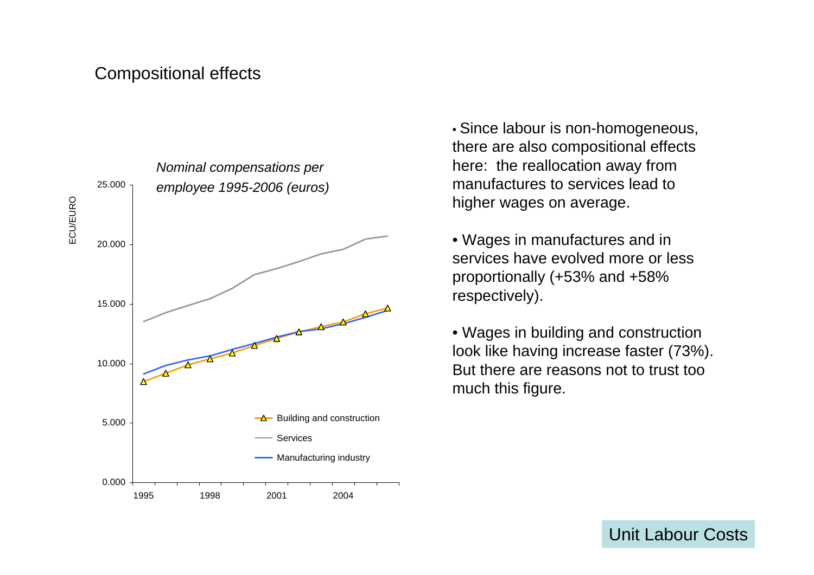## Compositional effects



• Since labour is non-homogeneous, there are also compositional effects here: the reallocation away from manufactures to services lead to higher wages on average.

• Wages in manufactures and in services have evolved more or less proportionally (+53% and +58% respectively).

• Wages in building and construction look like having increase faster (73%). But there are reasons not to trust too much this figure.

Unit Labour Costs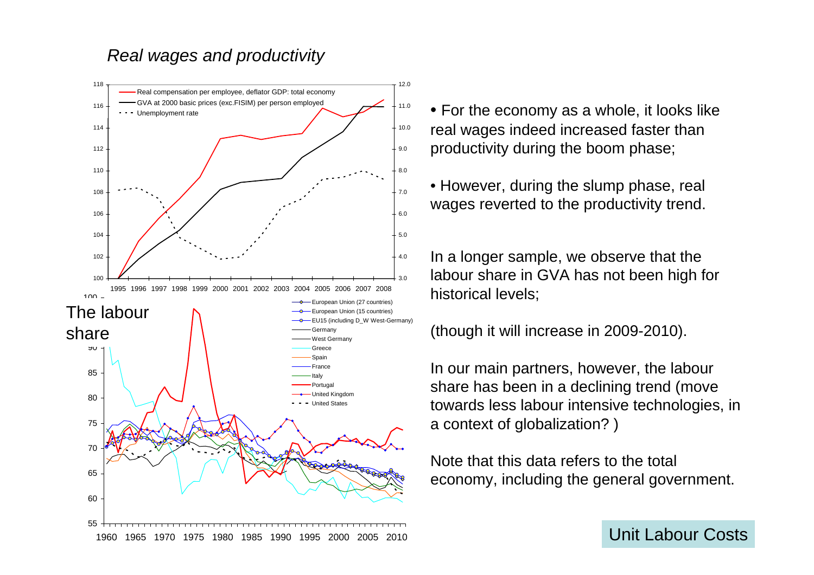## *Real wages and productivity*



• For the economy as a whole, it looks like real wages indeed increased faster than productivity during the boom phase;

• However, during the slump phase, real wages reverted to the productivity trend.

In a longer sample, we observe that the labour share in GVA has not been high for historical levels;

#### (though it will increase in 2009-2010).

In our main partners, however, the labour share has been in a declining trend (move towards less labour intensive technologies, in a context of globalization? )

Note that this data refers to the total economy, including the general government.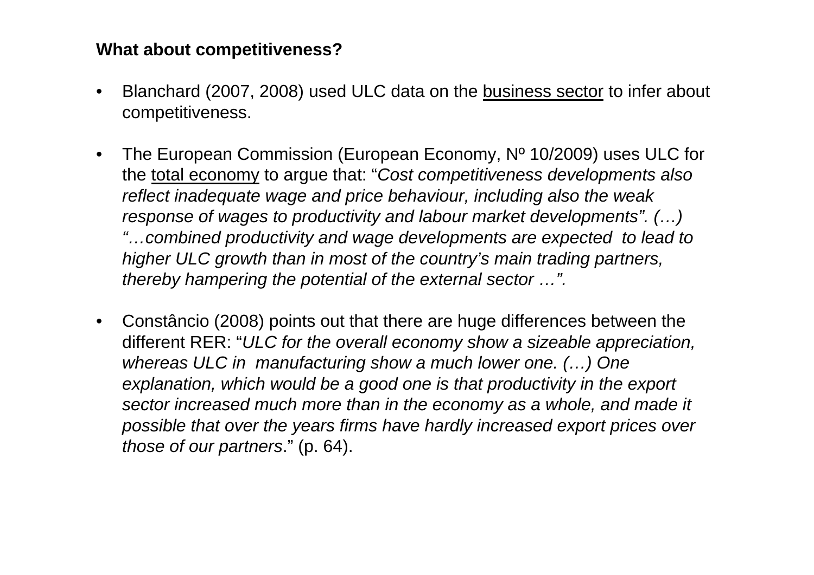## **What about competitiveness?**

- • Blanchard (2007, 2008) used ULC data on the business sector to infer about competitiveness.
- $\bullet$  The European Commission (European Economy, Nº 10/2009) uses ULC for the total economy to argue that: "*Cost competitiveness developments also reflect inadequate wage and price behaviour, including also the weak response of wages to productivity and labour market developments". (…) "…combined productivity and wage developments are expected to lead to higher ULC growth than in most of the country's main trading partners, thereby hampering the potential of the external sector …".*
- $\bullet$  Constâncio (2008) points out that there are huge differences between the different RER: "*ULC for the overall economy show a sizeable appreciation, whereas ULC in manufacturing show a much lower one. (…) One explanation, which would be a good one is that productivity in the export sector increased much more than in the economy as a whole, and made it possible that over the years firms have hardly increased export prices over those of our partners*." (p. 64).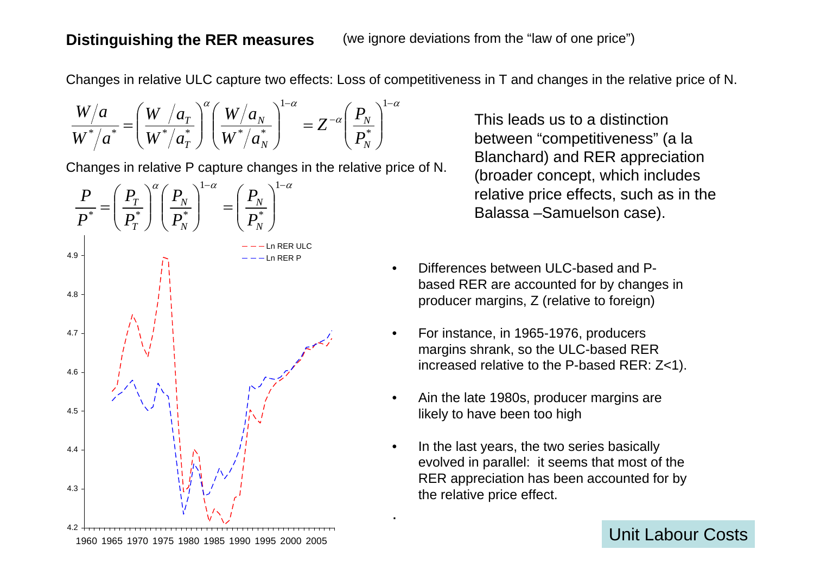#### **Distinguishing the RER measures**

Changes in relative ULC capture two effects: Loss of competitiveness in T and changes in the relative price of N.

.

$$
\frac{W/a}{W^{*}/a^{*}} = \left(\frac{W/a_{T}}{W^{*}/a_{T}^{*}}\right)^{\alpha} \left(\frac{W/a_{N}}{W^{*}/a_{N}^{*}}\right)^{1-\alpha} = Z^{-\alpha} \left(\frac{P_{N}}{P_{N}^{*}}\right)^{1-\alpha}
$$

Changes in relative P capture changes in the relative price of N.



This leads us to a distinction between "competitiveness" (a la Blanchard) and RER appreciation (broader concept, which includes relative price effects, such as in the Balassa –Samuelson case).

- •Differences between ULC-based and Pbased RER are accounted for by changes in producer margins, Z (relative to foreign)
- • For instance, in 1965-1976, producers margins shrank, so the ULC-based RER increased relative to the P-based RER: Z<1).
- • Ain the late 1980s, producer margins are likely to have been too high
- • In the last years, the two series basically evolved in parallel: it seems that most of the RER appreciation has been accounted for by the relative price effect.

Unit Labour Costs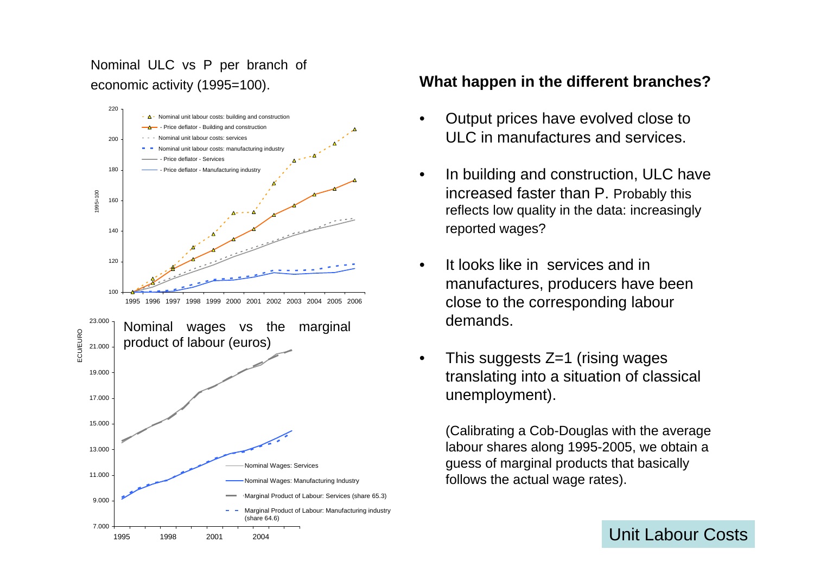Nominal ULC vs P per branch of economic activity (1995=100).



#### **What happen in the different branches?**

- • Output prices have evolved close to ULC in manufactures and services.
- • In building and construction, ULC have increased faster than P. Probably this reflects low quality in the data: increasingly reported wages?
- • It looks like in services and in manufactures, producers have been close to the corresponding labour demands.
- • This suggests Z=1 (rising wages translating into a situation of classical unemployment).

(Calibrating a Cob-Douglas with the average labour shares along 1995-2005, we obtain a guess of marginal products that basically follows the actual wage rates).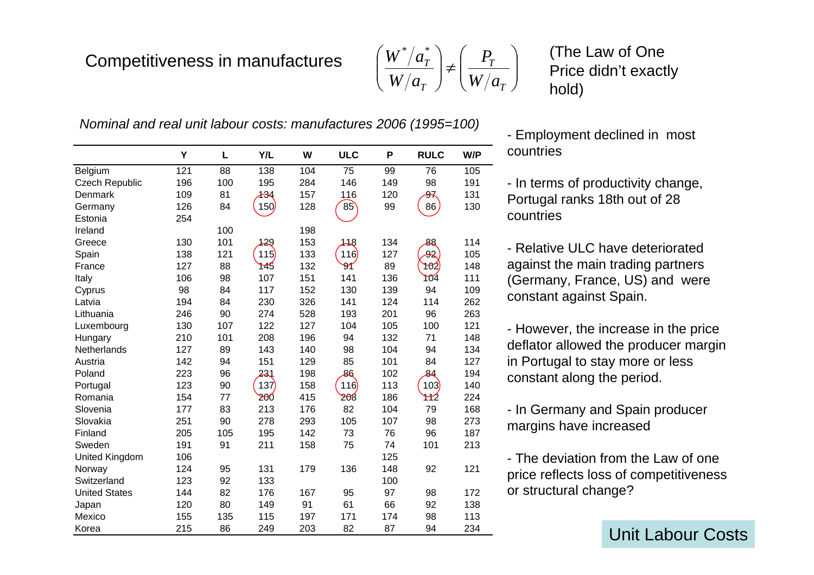# Competitiveness in manufactures

$$
\left(\frac{W^*/a_T^*}{W/a_T}\right) \neq \left(\frac{P_T}{W/a_T}\right)
$$

(The Law of One Price didn't exactly hold)

*Nominal and real unit labour costs: manufactures 2006 (1995=100)*

|                       | Y   | L   | Y/L | W   | <b>ULC</b> | P   | <b>RULC</b>      | W/P |
|-----------------------|-----|-----|-----|-----|------------|-----|------------------|-----|
| Belgium               | 121 | 88  | 138 | 104 | 75         | 99  | 76               | 105 |
| <b>Czech Republic</b> | 196 | 100 | 195 | 284 | 146        | 149 | 98               | 191 |
| Denmark               | 109 | 81  | 434 | 157 | 116        | 120 | <del>9</del> ⊼   | 131 |
| Germany               | 126 | 84  | 150 | 128 | 85         | 99  | 86               | 130 |
| Estonia               | 254 |     |     |     |            |     |                  |     |
| Ireland               |     | 100 |     | 198 |            |     |                  |     |
| Greece                | 130 | 101 | 129 | 153 | 118        | 134 | क्ष              | 114 |
| Spain                 | 138 | 121 | 115 | 133 | 116        | 127 | ക്ക്             | 105 |
| France                | 127 | 88  | 145 | 132 | 9ſ         | 89  | <del>ზრ</del> 2) | 148 |
| Italy                 | 106 | 98  | 107 | 151 | 141        | 136 | ነ04              | 111 |
| Cyprus                | 98  | 84  | 117 | 152 | 130        | 139 | 94               | 109 |
| Latvia                | 194 | 84  | 230 | 326 | 141        | 124 | 114              | 262 |
| Lithuania             | 246 | 90  | 274 | 528 | 193        | 201 | 96               | 263 |
| Luxembourg            | 130 | 107 | 122 | 127 | 104        | 105 | 100              | 121 |
| Hungary               | 210 | 101 | 208 | 196 | 94         | 132 | 71               | 148 |
| Netherlands           | 127 | 89  | 143 | 140 | 98         | 104 | 94               | 134 |
| Austria               | 142 | 94  | 151 | 129 | 85         | 101 | 84               | 127 |
| Poland                | 223 | 96  | 231 | 198 | 86         | 102 | 84               | 194 |
| Portugal              | 123 | 90  | 137 | 158 | 116        | 113 | 103              | 140 |
| Romania               | 154 | 77  | 200 | 415 | 208        | 186 | 112              | 224 |
| Slovenia              | 177 | 83  | 213 | 176 | 82         | 104 | 79               | 168 |
| Slovakia              | 251 | 90  | 278 | 293 | 105        | 107 | 98               | 273 |
| Finland               | 205 | 105 | 195 | 142 | 73         | 76  | 96               | 187 |
| Sweden                | 191 | 91  | 211 | 158 | 75         | 74  | 101              | 213 |
| <b>United Kingdom</b> | 106 |     |     |     |            | 125 |                  |     |
| Norway                | 124 | 95  | 131 | 179 | 136        | 148 | 92               | 121 |
| Switzerland           | 123 | 92  | 133 |     |            | 100 |                  |     |
| <b>United States</b>  | 144 | 82  | 176 | 167 | 95         | 97  | 98               | 172 |
| Japan                 | 120 | 80  | 149 | 91  | 61         | 66  | 92               | 138 |
| Mexico                | 155 | 135 | 115 | 197 | 171        | 174 | 98               | 113 |
| Korea                 | 215 | 86  | 249 | 203 | 82         | 87  | 94               | 234 |

- Employment declined in most countries

- In terms of productivity change,

Portugal ranks 18th out of 28 countries

- Relative ULC have deteriorated against the main trading partners (Germany, France, US) and were constant against Spain.

- However, the increase in the price deflator allowed the producer margin in Portugal to stay more or less constant along the period.

- In Germany and Spain producer margins have increased

- The deviation from the Law of one price reflects loss of competitiveness or structural change?

Unit Labour Costs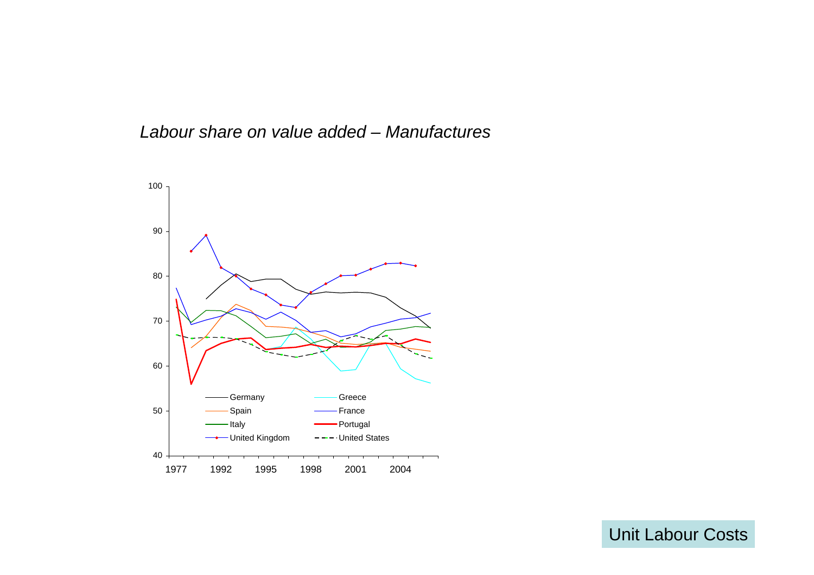*Labour share on value added – Manufactures*



Unit Labour Costs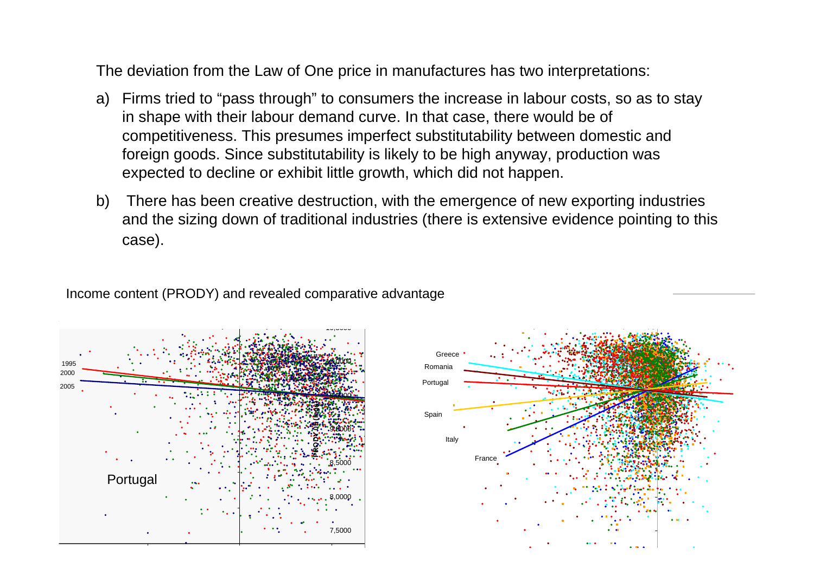The deviation from the Law of One price in manufactures has two interpretations:

- a) Firms tried to "pass through" to consumers the increase in labour costs, so as to stay in shape with their labour demand curve. In that case, there would be of competitiveness. This presumes imperfect substitutability between domestic and foreign goods. Since substitutability is likely to be high anyway, production was expected to decline or exhibit little growth, which did not happen.
- b) There has been creative destruction, with the emergence of new exporting industries and the sizing down of traditional industries (there is extensive evidence pointing to this case).

Income content (PRODY) and revealed comparative advantage



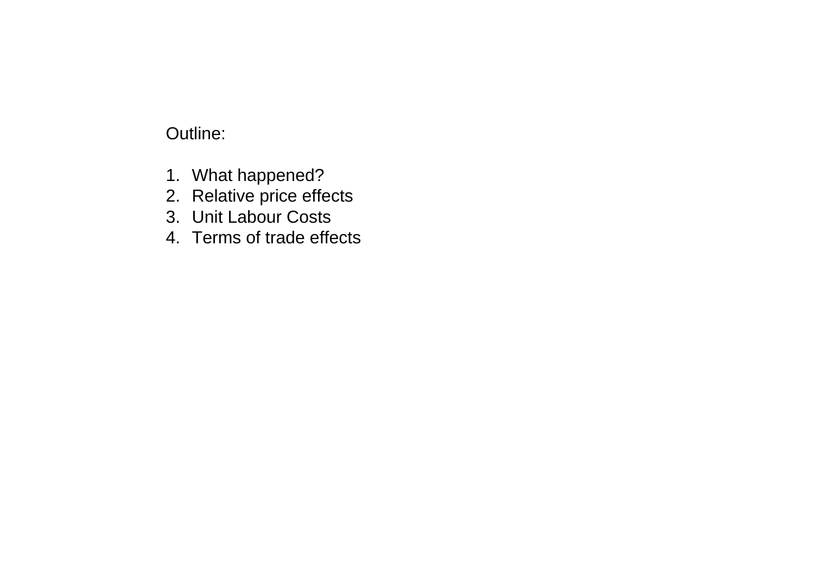# Outline:

- 1. What happened?
- 2. Relative price effects
- 3. Unit Labour Costs
- 4. Terms of trade effects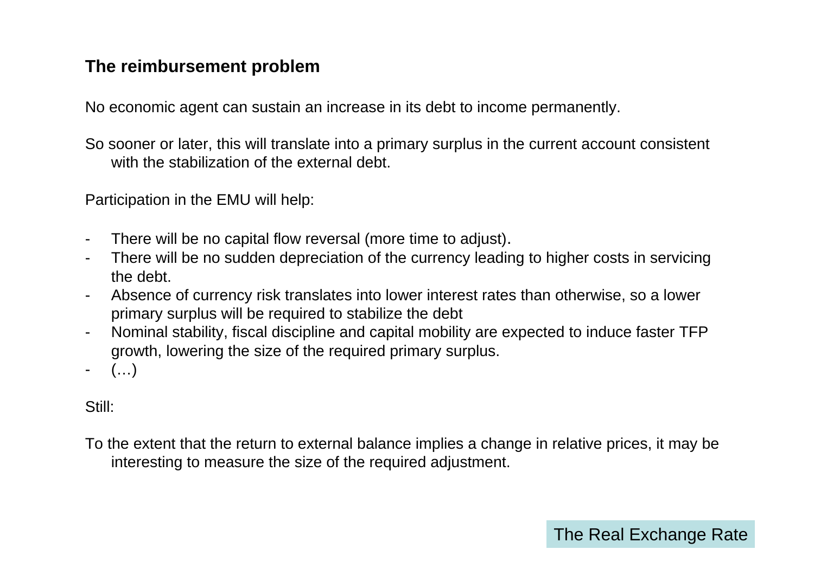## **The reimbursement problem**

No economic agent can sustain an increase in its debt to income permanently.

So sooner or later, this will translate into a primary surplus in the current account consistent with the stabilization of the external debt.

Participation in the EMU will help:

- -There will be no capital flow reversal (more time to adjust).
- - There will be no sudden depreciation of the currency leading to higher costs in servicing the debt.
- - Absence of currency risk translates into lower interest rates than otherwise, so a lower primary surplus will be required to stabilize the debt
- - Nominal stability, fiscal discipline and capital mobility are expected to induce faster TFP growth, lowering the size of the required primary surplus.
- -(…)

Still:

To the extent that the return to external balance implies a change in relative prices, it may be interesting to measure the size of the required adjustment.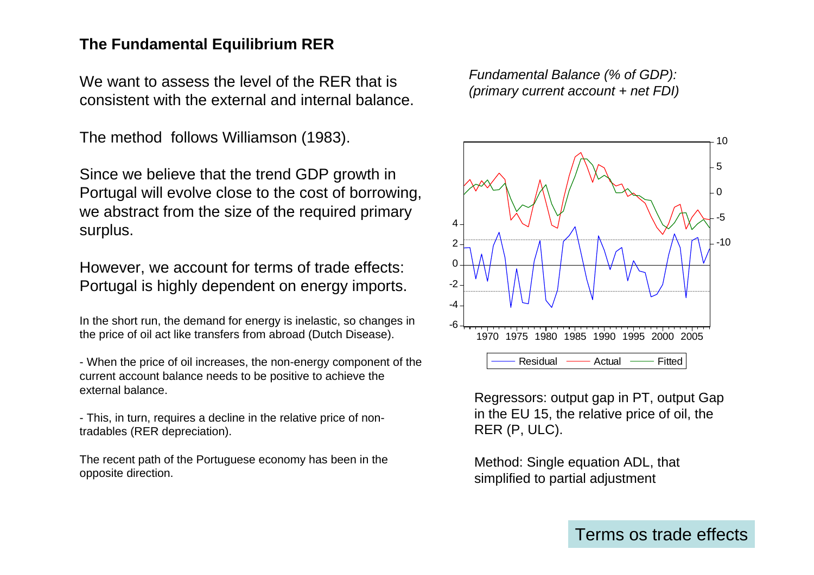#### **The Fundamental Equilibrium RER**

We want to assess the level of the RFR that is consistent with the external and internal balance.

The method follows Williamson (1983).

Since we believe that the trend GDP growth in Portugal will evolve close to the cost of borrowing, we abstract from the size of the required primary surplus.

However, we account for terms of trade effects: Portugal is highly dependent on energy imports.

In the short run, the demand for energy is inelastic, so changes in the price of oil act like transfers from abroad (Dutch Disease).

- When the price of oil increases, the non-energy component of the current account balance needs to be positive to achieve the external balance.

- This, in turn, requires a decline in the relative price of nontradables (RER depreciation).

The recent path of the Portuguese economy has been in the opposite direction.

*Fundamental Balance (% of GDP): (primary current account + net FDI)*



Regressors: output gap in PT, output Gap in the EU 15, the relative price of oil, the RER (P, ULC).

Method: Single equation ADL, that simplified to partial adjustment

Terms os trade effects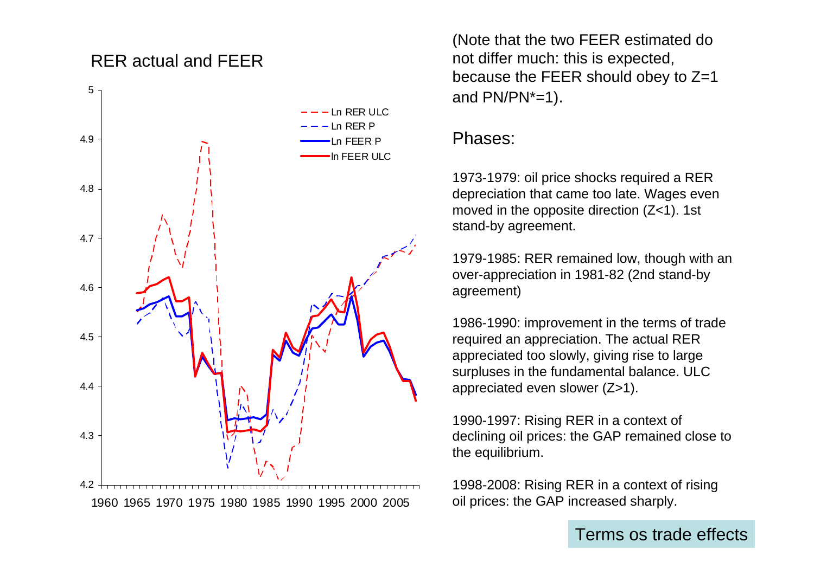## RER actual and FEER



(Note that the two FEER estimated do not differ much: this is expected, because the FEER should obey to Z=1 and PN/PN\*=1).

### Phases:

1973-1979: oil price shocks required a RER depreciation that came too late. Wages even moved in the opposite direction (Z<1). 1st stand-by agreement.

1979-1985: RER remained low, though with an over-appreciation in 1981-82 (2nd stand-by agreement)

1986-1990: improvement in the terms of trade required an appreciation. The actual RER appreciated too slowly, giving rise to large surpluses in the fundamental balance. ULC appreciated even slower (Z>1).

1990-1997: Rising RER in a context of declining oil prices: the GAP remained close to the equilibrium.

1998-2008: Rising RER in a context of rising oil prices: the GAP increased sharply.

Terms os trade effects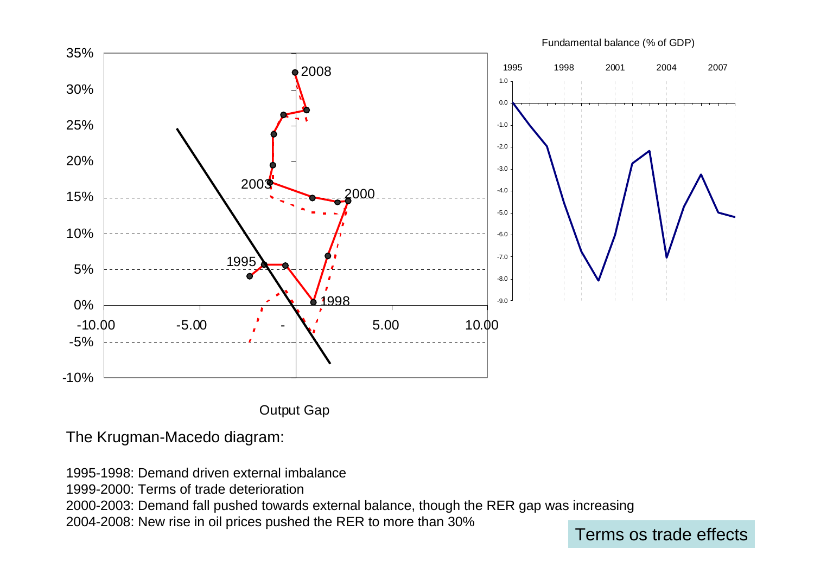

**Output Gap** 

The Krugman-Macedo diagram:

1995-1998: Demand driven external imbalance

1999-2000: Terms of trade deterioration

2000-2003: Demand fall pushed towards external balance, though the RER gap was increasing

2004-2008: New rise in oil prices pushed the RER to more than 30% Terms os trade effects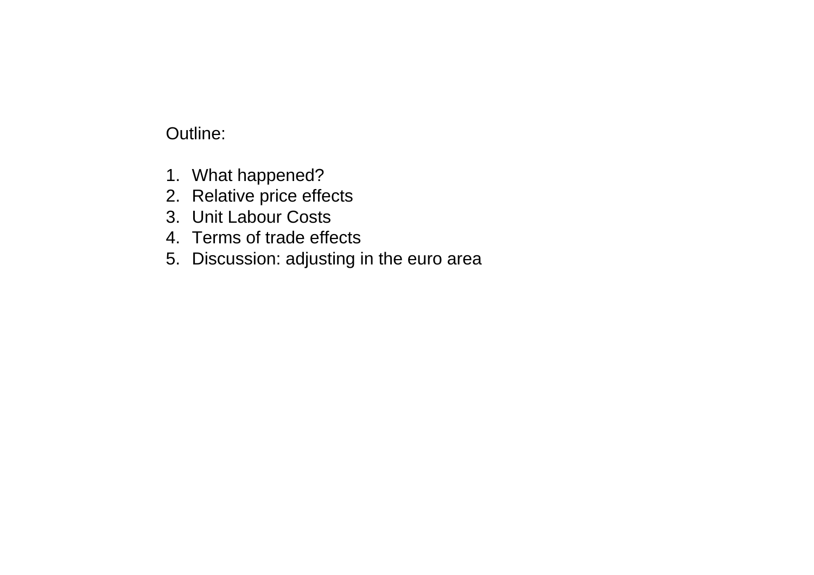# Outline:

- 1. What happened?
- 2. Relative price effects
- 3. Unit Labour Costs
- 4. Terms of trade effects
- 5. Discussion: adjusting in the euro area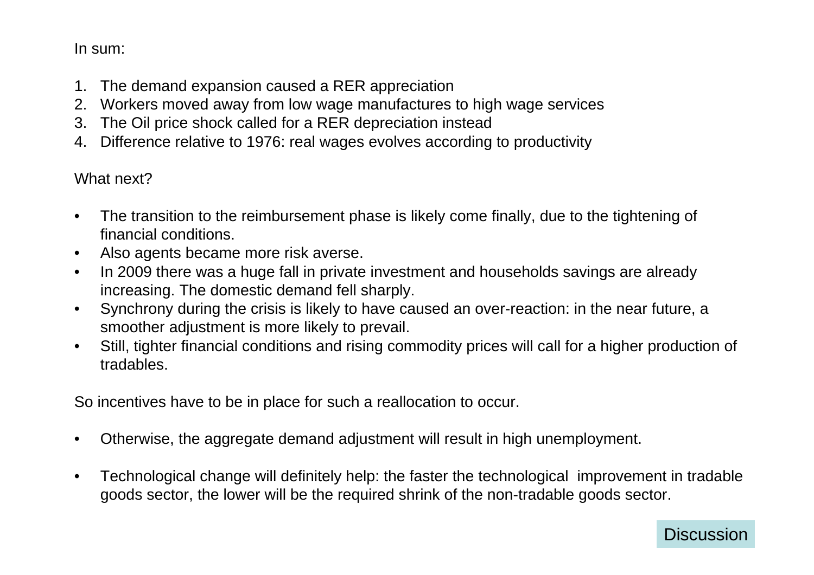In sum:

- 1. The demand expansion caused a RER appreciation
- 2. Workers moved away from low wage manufactures to high wage services
- 3. The Oil price shock called for a RER depreciation instead
- 4. Difference relative to 1976: real wages evolves according to productivity

What next?

- $\bullet$  The transition to the reimbursement phase is likely come finally, due to the tightening of financial conditions.
- $\bullet$ Also agents became more risk averse.
- $\bullet$  In 2009 there was a huge fall in private investment and households savings are already increasing. The domestic demand fell sharply.
- • Synchrony during the crisis is likely to have caused an over-reaction: in the near future, a smoother adjustment is more likely to prevail.
- $\bullet$  Still, tighter financial conditions and rising commodity prices will call for a higher production of tradables.

So incentives have to be in place for such a reallocation to occur.

- $\bullet$ Otherwise, the aggregate demand adjustment will result in high unemployment.
- • Technological change will definitely help: the faster the technological improvement in tradable goods sector, the lower will be the required shrink of the non-tradable goods sector.

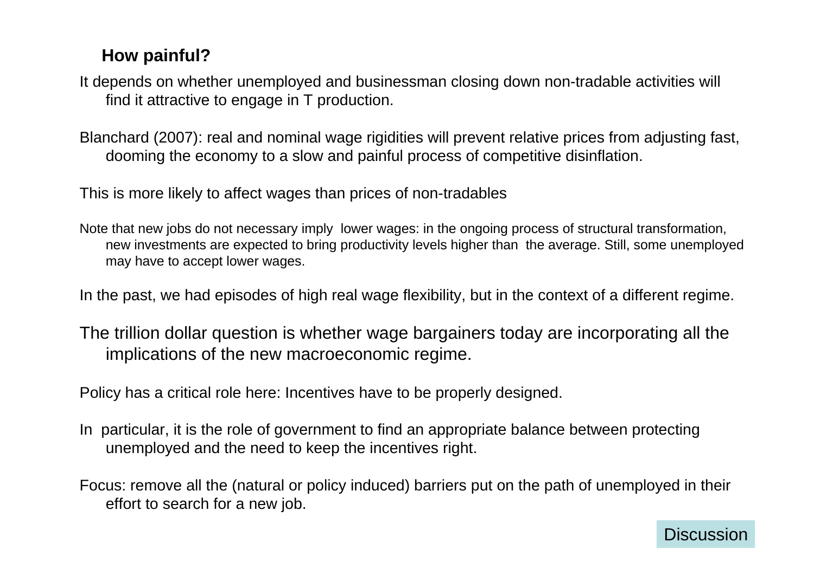# **How painful?**

It depends on whether unemployed and businessman closing down non-tradable activities will find it attractive to engage in T production.

Blanchard (2007): real and nominal wage rigidities will prevent relative prices from adjusting fast, dooming the economy to a slow and painful process of competitive disinflation.

This is more likely to affect wages than prices of non-tradables

Note that new jobs do not necessary imply lower wages: in the ongoing process of structural transformation, new investments are expected to bring productivity levels higher than the average. Still, some unemployed may have to accept lower wages.

In the past, we had episodes of high real wage flexibility, but in the context of a different regime.

The trillion dollar question is whether wage bargainers today are incorporating all the implications of the new macroeconomic regime.

Policy has a critical role here: Incentives have to be properly designed.

- In particular, it is the role of government to find an appropriate balance between protecting unemployed and the need to keep the incentives right.
- Focus: remove all the (natural or policy induced) barriers put on the path of unemployed in their effort to search for a new job.

**Discussion**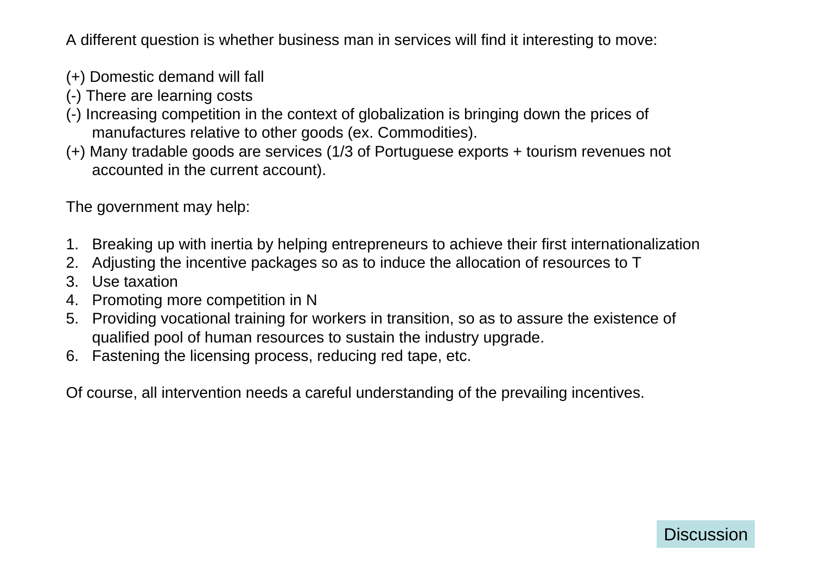A different question is whether business man in services will find it interesting to move:

- (+) Domestic demand will fall
- (-) There are learning costs
- (-) Increasing competition in the context of globalization is bringing down the prices of manufactures relative to other goods (ex. Commodities).
- (+) Many tradable goods are services (1/3 of Portuguese exports + tourism revenues not accounted in the current account).

The government may help:

- 1. Breaking up with inertia by helping entrepreneurs to achieve their first internationalization
- 2. Adjusting the incentive packages so as to induce the allocation of resources to T
- 3. Use taxation
- 4. Promoting more competition in N
- 5. Providing vocational training for workers in transition, so as to assure the existence of qualified pool of human resources to sustain the industry upgrade.
- 6. Fastening the licensing process, reducing red tape, etc.

Of course, all intervention needs a careful understanding of the prevailing incentives.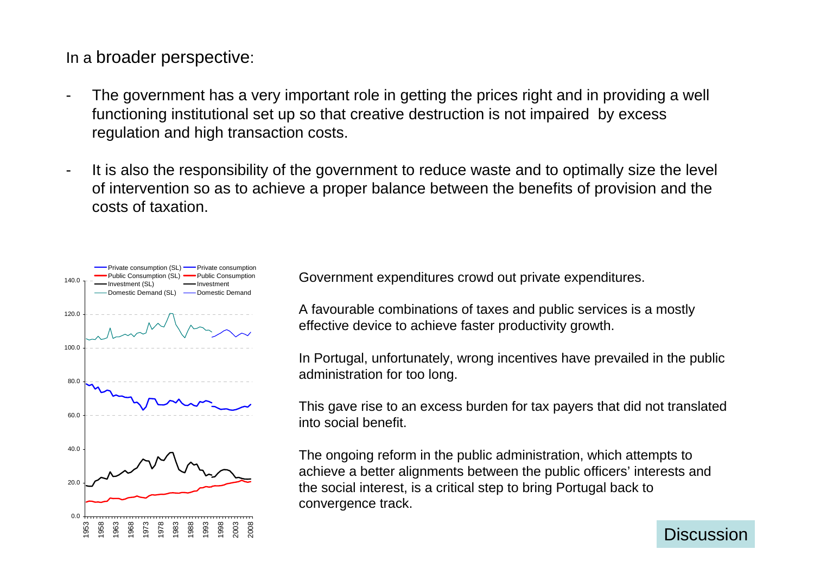In a broader perspective:

- The government has a very important role in getting the prices right and in providing a well functioning institutional set up so that creative destruction is not impaired by excess regulation and high transaction costs.
- It is also the responsibility of the government to reduce waste and to optimally size the level of intervention so as to achieve a proper balance between the benefits of provision and the costs of taxation.



Government expenditures crowd out private expenditures.

A favourable combinations of taxes and public services is a mostly effective device to achieve faster productivity growth.

In Portugal, unfortunately, wrong incentives have prevailed in the public administration for too long.

This gave rise to an excess burden for tax payers that did not translated into social benefit.

The ongoing reform in the public administration, which attempts to achieve a better alignments between the public officers' interests and the social interest, is a critical step to bring Portugal back to convergence track.

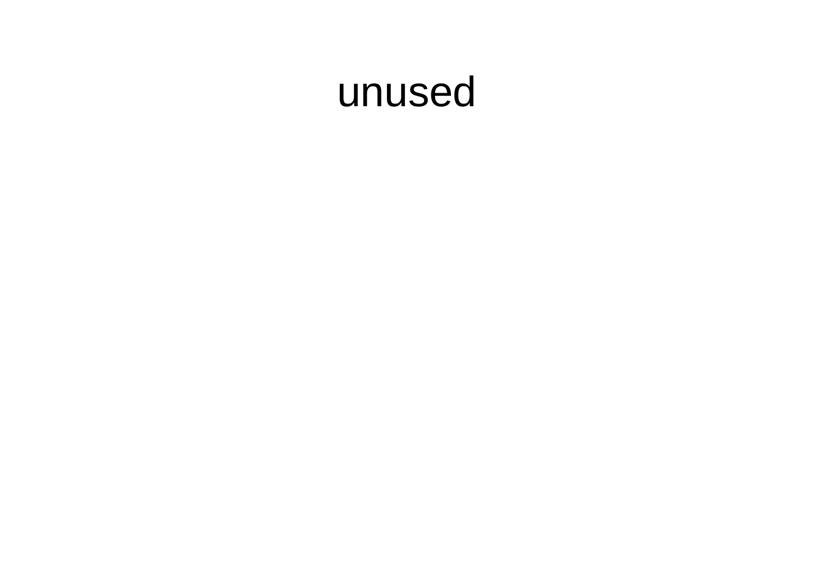# unused